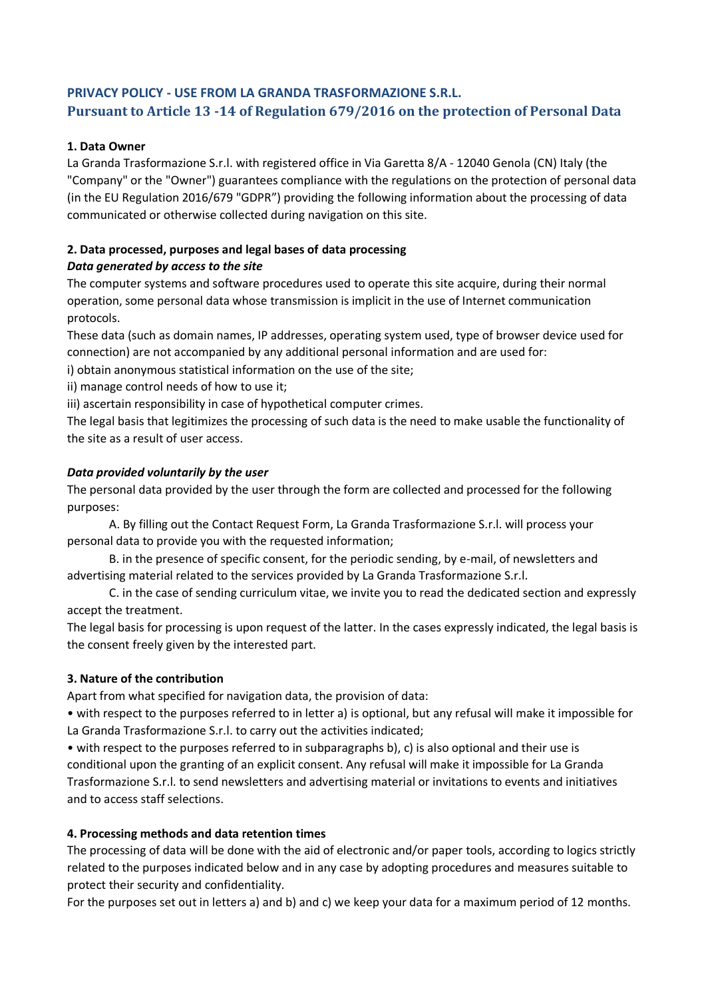# **PRIVACY POLICY - USE FROM LA GRANDA TRASFORMAZIONE S.R.L. Pursuant to Article 13 -14 of Regulation 679/2016 on the protection of Personal Data**

## **1. Data Owner**

La Granda Trasformazione S.r.l. with registered office in Via Garetta 8/A - 12040 Genola (CN) Italy (the "Company" or the "Owner") guarantees compliance with the regulations on the protection of personal data (in the EU Regulation 2016/679 "GDPR") providing the following information about the processing of data communicated or otherwise collected during navigation on this site.

# **2. Data processed, purposes and legal bases of data processing**

# *Data generated by access to the site*

The computer systems and software procedures used to operate this site acquire, during their normal operation, some personal data whose transmission is implicit in the use of Internet communication protocols.

These data (such as domain names, IP addresses, operating system used, type of browser device used for connection) are not accompanied by any additional personal information and are used for:

i) obtain anonymous statistical information on the use of the site;

ii) manage control needs of how to use it;

iii) ascertain responsibility in case of hypothetical computer crimes.

The legal basis that legitimizes the processing of such data is the need to make usable the functionality of the site as a result of user access.

## *Data provided voluntarily by the user*

The personal data provided by the user through the form are collected and processed for the following purposes:

A. By filling out the Contact Request Form, La Granda Trasformazione S.r.l. will process your personal data to provide you with the requested information;

B. in the presence of specific consent, for the periodic sending, by e-mail, of newsletters and advertising material related to the services provided by La Granda Trasformazione S.r.l.

C. in the case of sending curriculum vitae, we invite you to read the dedicated section and expressly accept the treatment.

The legal basis for processing is upon request of the latter. In the cases expressly indicated, the legal basis is the consent freely given by the interested part.

# **3. Nature of the contribution**

Apart from what specified for navigation data, the provision of data:

• with respect to the purposes referred to in letter a) is optional, but any refusal will make it impossible for La Granda Trasformazione S.r.l. to carry out the activities indicated;

• with respect to the purposes referred to in subparagraphs b), c) is also optional and their use is conditional upon the granting of an explicit consent. Any refusal will make it impossible for La Granda Trasformazione S.r.l. to send newsletters and advertising material or invitations to events and initiatives and to access staff selections.

## **4. Processing methods and data retention times**

The processing of data will be done with the aid of electronic and/or paper tools, according to logics strictly related to the purposes indicated below and in any case by adopting procedures and measures suitable to protect their security and confidentiality.

For the purposes set out in letters a) and b) and c) we keep your data for a maximum period of 12 months.